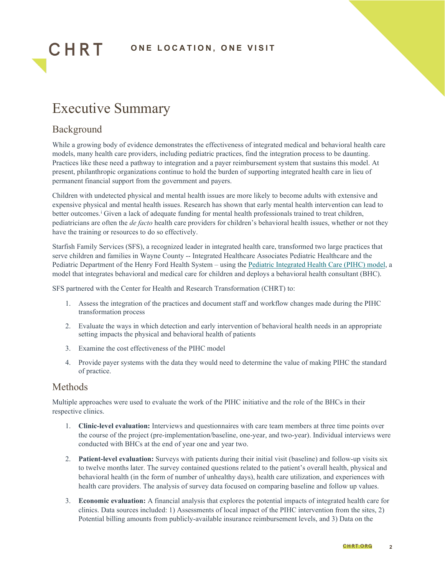

# Executive Summary

#### Background

CHRT

While a growing body of evidence demonstrates the effectiveness of integrated medical and behavioral health care models, many health care providers, including pediatric practices, find the integration process to be daunting. Practices like these need a pathway to integration and a payer reimbursement system that sustains this model. At present, philanthropic organizations continue to hold the burden of supporting integrated health care in lieu of permanent financial support from the government and payers.

Children with undetected physical and mental health issues are more likely to become adults with extensive and expensive physical and mental health issues. Research has shown that early mental health intervention can lead to better outcomes.<sup>[i](#page--1-0)</sup> Given a lack of adequate funding for mental health professionals trained to treat children, pediatricians are often the *de facto* health care providers for children's behavioral health issues, whether or not they have the training or resources to do so effectively.

Starfish Family Services (SFS), a recognized leader in integrated health care, transformed two large practices that serve children and families in Wayne County -- Integrated Healthcare Associates Pediatric Healthcare and the Pediatric Department of the Henry Ford Health System – using th[e Pediatric Integrated Health Care \(PIHC\) model,](https://www.starfishfamilyservices.org/wp-content/uploads/2020/11/STARFISH_K38101-IM-Manual_6.pdf) a model that integrates behavioral and medical care for children and deploys a behavioral health consultant (BHC).

SFS partnered with the Center for Health and Research Transformation (CHRT) to:

- 1. Assess the integration of the practices and document staff and workflow changes made during the PIHC transformation process
- 2. Evaluate the ways in which detection and early intervention of behavioral health needs in an appropriate setting impacts the physical and behavioral health of patients
- 3. Examine the cost effectiveness of the PIHC model
- 4. Provide payer systems with the data they would need to determine the value of making PIHC the standard of practice.

#### Methods

Multiple approaches were used to evaluate the work of the PIHC initiative and the role of the BHCs in their respective clinics.

- 1. **Clinic-level evaluation:** Interviews and questionnaires with care team members at three time points over the course of the project (pre-implementation/baseline, one-year, and two-year). Individual interviews were conducted with BHCs at the end of year one and year two.
- 2. **Patient-level evaluation:** Surveys with patients during their initial visit (baseline) and follow-up visits six to twelve months later. The survey contained questions related to the patient's overall health, physical and behavioral health (in the form of number of unhealthy days), health care utilization, and experiences with health care providers. The analysis of survey data focused on comparing baseline and follow up values.
- 3. **Economic evaluation:** A financial analysis that explores the potential impacts of integrated health care for clinics. Data sources included: 1) Assessments of local impact of the PIHC intervention from the sites, 2) Potential billing amounts from publicly-available insurance reimbursement levels, and 3) Data on the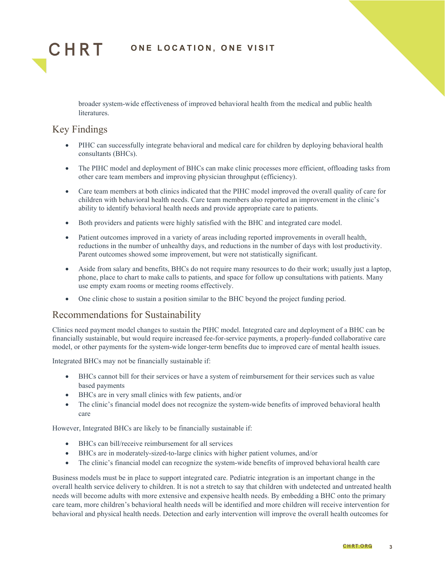

### **ONE LOCATION, ONE VISIT**

broader system-wide effectiveness of improved behavioral health from the medical and public health literatures.

### Key Findings

- PIHC can successfully integrate behavioral and medical care for children by deploying behavioral health consultants (BHCs).
- The PIHC model and deployment of BHCs can make clinic processes more efficient, offloading tasks from other care team members and improving physician throughput (efficiency).
- Care team members at both clinics indicated that the PIHC model improved the overall quality of care for children with behavioral health needs. Care team members also reported an improvement in the clinic's ability to identify behavioral health needs and provide appropriate care to patients.
- Both providers and patients were highly satisfied with the BHC and integrated care model.
- Patient outcomes improved in a variety of areas including reported improvements in overall health, reductions in the number of unhealthy days, and reductions in the number of days with lost productivity. Parent outcomes showed some improvement, but were not statistically significant.
- Aside from salary and benefits, BHCs do not require many resources to do their work; usually just a laptop, phone, place to chart to make calls to patients, and space for follow up consultations with patients. Many use empty exam rooms or meeting rooms effectively.
- One clinic chose to sustain a position similar to the BHC beyond the project funding period.

## Recommendations for Sustainability

Clinics need payment model changes to sustain the PIHC model. Integrated care and deployment of a BHC can be financially sustainable, but would require increased fee-for-service payments, a properly-funded collaborative care model, or other payments for the system-wide longer-term benefits due to improved care of mental health issues.

Integrated BHCs may not be financially sustainable if:

- BHCs cannot bill for their services or have a system of reimbursement for their services such as value based payments
- BHCs are in very small clinics with few patients, and/or
- The clinic's financial model does not recognize the system-wide benefits of improved behavioral health care

However, Integrated BHCs are likely to be financially sustainable if:

- BHCs can bill/receive reimbursement for all services
- BHCs are in moderately-sized-to-large clinics with higher patient volumes, and/or
- The clinic's financial model can recognize the system-wide benefits of improved behavioral health care

Business models must be in place to support integrated care. Pediatric integration is an important change in the overall health service delivery to children. It is not a stretch to say that children with undetected and untreated health needs will become adults with more extensive and expensive health needs. By embedding a BHC onto the primary care team, more children's behavioral health needs will be identified and more children will receive intervention for behavioral and physical health needs. Detection and early intervention will improve the overall health outcomes for